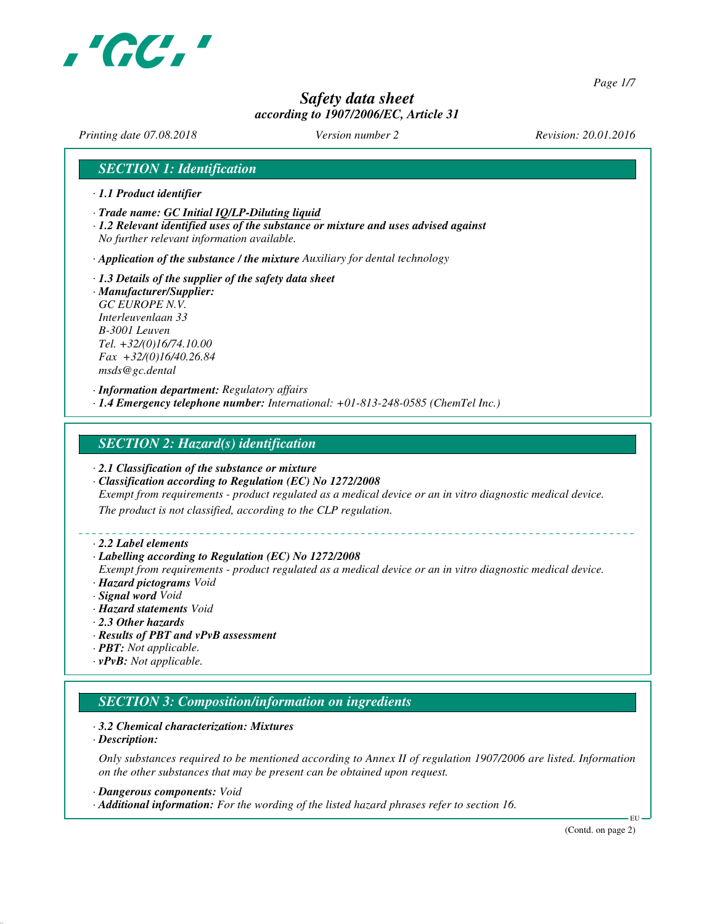

*Page 1/7*

# *Safety data sheet according to 1907/2006/EC, Article 31*

*Printing date 07.08.2018 Version number 2 Revision: 20.01.2016*

## *SECTION 1: Identification*

- *· 1.1 Product identifier*
- *· Trade name: GC Initial IQ/LP-Diluting liquid*
- *· 1.2 Relevant identified uses of the substance or mixture and uses advised against No further relevant information available.*

*· Application of the substance / the mixture Auxiliary for dental technology*

*· 1.3 Details of the supplier of the safety data sheet · Manufacturer/Supplier: GC EUROPE N.V. Interleuvenlaan 33 B-3001 Leuven Tel. +32/(0)16/74.10.00 Fax +32/(0)16/40.26.84 msds@gc.dental*

*· Information department: Regulatory affairs · 1.4 Emergency telephone number: International: +01-813-248-0585 (ChemTel Inc.)*

#### *SECTION 2: Hazard(s) identification*

- *· 2.1 Classification of the substance or mixture*
- *· Classification according to Regulation (EC) No 1272/2008*

*Exempt from requirements - product regulated as a medical device or an in vitro diagnostic medical device.*

*The product is not classified, according to the CLP regulation.*

#### *· 2.2 Label elements*

#### *· Labelling according to Regulation (EC) No 1272/2008*

*Exempt from requirements - product regulated as a medical device or an in vitro diagnostic medical device. · Hazard pictograms Void*

- *· Signal word Void*
- *· Hazard statements Void*
- *· 2.3 Other hazards*
- *· Results of PBT and vPvB assessment*
- *· PBT: Not applicable.*
- *· vPvB: Not applicable.*

# *SECTION 3: Composition/information on ingredients*

#### *· 3.2 Chemical characterization: Mixtures*

*· Description:*

*Only substances required to be mentioned according to Annex II of regulation 1907/2006 are listed. Information on the other substances that may be present can be obtained upon request.*

*· Dangerous components: Void*

*· Additional information: For the wording of the listed hazard phrases refer to section 16.*

(Contd. on page 2)

EU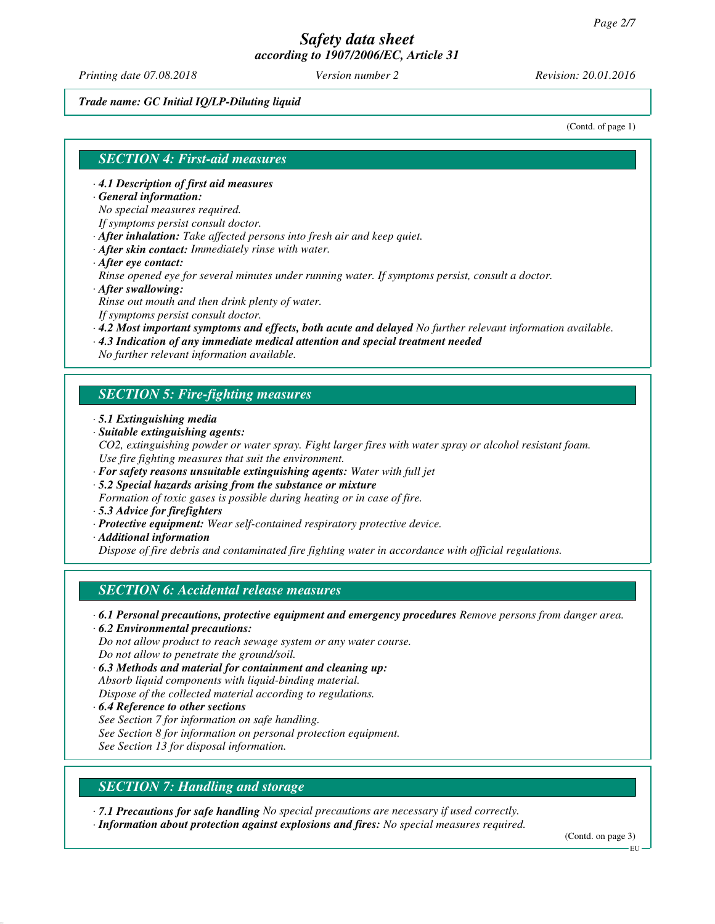*Printing date 07.08.2018 Version number 2 Revision: 20.01.2016*

#### *Trade name: GC Initial IQ/LP-Diluting liquid*

(Contd. of page 1)

## *SECTION 4: First-aid measures*

- *· 4.1 Description of first aid measures*
- *· General information:*

*No special measures required.*

*If symptoms persist consult doctor.*

- *· After inhalation: Take affected persons into fresh air and keep quiet.*
- *· After skin contact: Immediately rinse with water.*
- *· After eye contact:*

*Rinse opened eye for several minutes under running water. If symptoms persist, consult a doctor. · After swallowing:*

*Rinse out mouth and then drink plenty of water.*

*If symptoms persist consult doctor.*

- *· 4.2 Most important symptoms and effects, both acute and delayed No further relevant information available.*
- *· 4.3 Indication of any immediate medical attention and special treatment needed*

*No further relevant information available.*

## *SECTION 5: Fire-fighting measures*

- *· 5.1 Extinguishing media*
- *· Suitable extinguishing agents:*
- *CO2, extinguishing powder or water spray. Fight larger fires with water spray or alcohol resistant foam. Use fire fighting measures that suit the environment.*
- *· For safety reasons unsuitable extinguishing agents: Water with full jet*
- *· 5.2 Special hazards arising from the substance or mixture*
- *Formation of toxic gases is possible during heating or in case of fire.*
- *· 5.3 Advice for firefighters*
- *· Protective equipment: Wear self-contained respiratory protective device.*
- *· Additional information*

*Dispose of fire debris and contaminated fire fighting water in accordance with official regulations.*

## *SECTION 6: Accidental release measures*

- *· 6.1 Personal precautions, protective equipment and emergency procedures Remove persons from danger area. · 6.2 Environmental precautions:*
- *Do not allow product to reach sewage system or any water course. Do not allow to penetrate the ground/soil.*
- *· 6.3 Methods and material for containment and cleaning up: Absorb liquid components with liquid-binding material. Dispose of the collected material according to regulations.*
- *· 6.4 Reference to other sections See Section 7 for information on safe handling. See Section 8 for information on personal protection equipment. See Section 13 for disposal information.*

# *SECTION 7: Handling and storage*

*· 7.1 Precautions for safe handling No special precautions are necessary if used correctly.*

*· Information about protection against explosions and fires: No special measures required.*

(Contd. on page 3)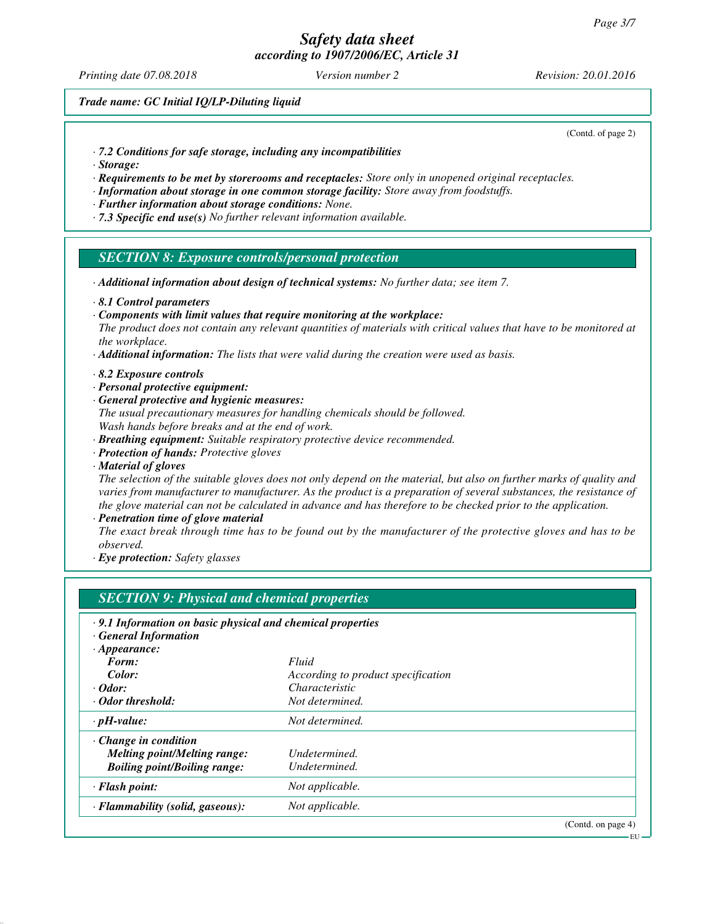*Printing date 07.08.2018 Version number 2 Revision: 20.01.2016*

*Trade name: GC Initial IQ/LP-Diluting liquid*

(Contd. of page 2)

- *· 7.2 Conditions for safe storage, including any incompatibilities*
- *· Storage:*
- *· Requirements to be met by storerooms and receptacles: Store only in unopened original receptacles.*
- *· Information about storage in one common storage facility: Store away from foodstuffs.*
- *· Further information about storage conditions: None.*
- *· 7.3 Specific end use(s) No further relevant information available.*

#### *SECTION 8: Exposure controls/personal protection*

- *· Additional information about design of technical systems: No further data; see item 7.*
- *· 8.1 Control parameters*
- *· Components with limit values that require monitoring at the workplace:*

*The product does not contain any relevant quantities of materials with critical values that have to be monitored at the workplace.*

- *· Additional information: The lists that were valid during the creation were used as basis.*
- *· 8.2 Exposure controls*
- *· Personal protective equipment:*
- *· General protective and hygienic measures:*
- *The usual precautionary measures for handling chemicals should be followed. Wash hands before breaks and at the end of work.*
- *· Breathing equipment: Suitable respiratory protective device recommended.*
- *· Protection of hands: Protective gloves*
- *· Material of gloves*

*The selection of the suitable gloves does not only depend on the material, but also on further marks of quality and varies from manufacturer to manufacturer. As the product is a preparation of several substances, the resistance of the glove material can not be calculated in advance and has therefore to be checked prior to the application.*

*· Penetration time of glove material*

*The exact break through time has to be found out by the manufacturer of the protective gloves and has to be observed.*

*· Eye protection: Safety glasses*

| <b>SECTION 9: Physical and chemical properties</b>         |                                    |                    |
|------------------------------------------------------------|------------------------------------|--------------------|
| .9.1 Information on basic physical and chemical properties |                                    |                    |
| <b>General Information</b>                                 |                                    |                    |
| $\cdot$ Appearance:                                        |                                    |                    |
| Form:                                                      | Fluid                              |                    |
| Color:                                                     | According to product specification |                    |
| $\cdot$ Odor:                                              | Characteristic                     |                    |
| · Odor threshold:                                          | Not determined.                    |                    |
| $\cdot$ pH-value:                                          | Not determined.                    |                    |
| $\cdot$ Change in condition                                |                                    |                    |
| <b>Melting point/Melting range:</b>                        | Undetermined.                      |                    |
| <b>Boiling point/Boiling range:</b>                        | Undetermined.                      |                    |
| $\cdot$ Flash point:                                       | Not applicable.                    |                    |
| · Flammability (solid, gaseous):                           | Not applicable.                    |                    |
|                                                            |                                    | (Contd. on page 4) |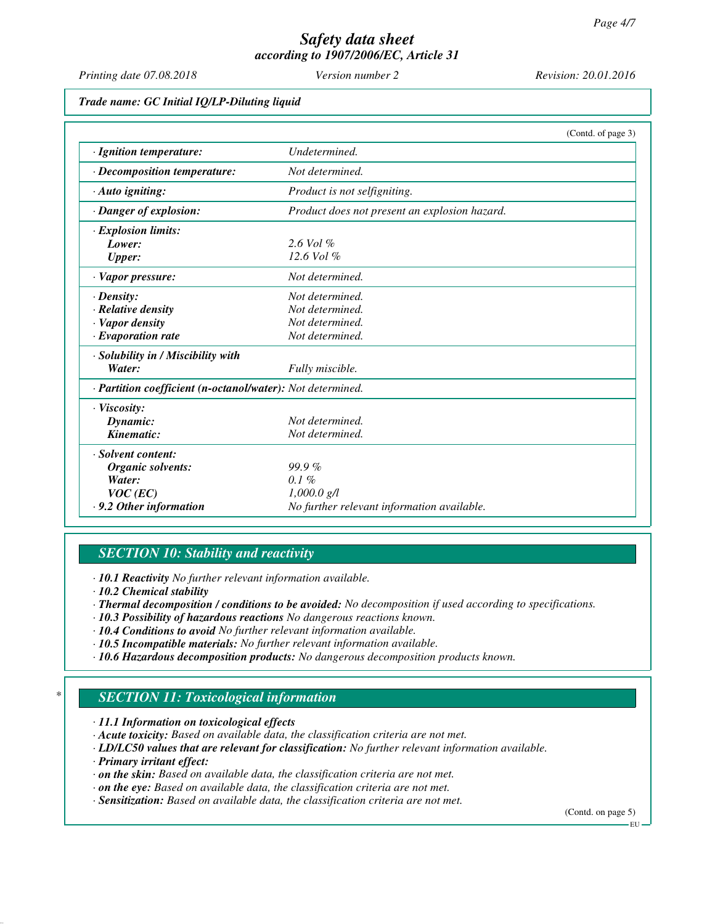*Printing date 07.08.2018 Version number 2 Revision: 20.01.2016*

*Trade name: GC Initial IQ/LP-Diluting liquid*

|                                                            | (Contd. of page 3)                            |
|------------------------------------------------------------|-----------------------------------------------|
| · Ignition temperature:                                    | Undetermined.                                 |
| $\cdot$ Decomposition temperature:                         | Not determined.                               |
| $\cdot$ Auto igniting:                                     | Product is not selfigniting.                  |
| · Danger of explosion:                                     | Product does not present an explosion hazard. |
| · Explosion limits:                                        |                                               |
| Lower:                                                     | $2.6$ Vol $%$                                 |
| <b>Upper:</b>                                              | $12.6$ Vol $%$                                |
| · Vapor pressure:                                          | Not determined.                               |
| $\cdot$ Density:                                           | Not determined.                               |
| · Relative density                                         | Not determined.                               |
| · Vapor density                                            | Not determined.                               |
| $\cdot$ Evaporation rate                                   | Not determined.                               |
| · Solubility in / Miscibility with                         |                                               |
| Water:                                                     | Fully miscible.                               |
| · Partition coefficient (n-octanol/water): Not determined. |                                               |
| $\cdot$ Viscosity:                                         |                                               |
| Dynamic:                                                   | Not determined.                               |
| Kinematic:                                                 | Not determined.                               |
| · Solvent content:                                         |                                               |
| Organic solvents:                                          | $99.9\%$                                      |
| Water:                                                     | $0.1\%$                                       |
| $VOC$ (EC)                                                 | $1,000.0$ g/l                                 |
| $\cdot$ 9.2 Other information                              | No further relevant information available.    |

# *SECTION 10: Stability and reactivity*

*· 10.1 Reactivity No further relevant information available.*

- *· 10.2 Chemical stability*
- *· Thermal decomposition / conditions to be avoided: No decomposition if used according to specifications.*
- *· 10.3 Possibility of hazardous reactions No dangerous reactions known.*
- *· 10.4 Conditions to avoid No further relevant information available.*
- *· 10.5 Incompatible materials: No further relevant information available.*
- *· 10.6 Hazardous decomposition products: No dangerous decomposition products known.*

# *\* SECTION 11: Toxicological information*

*· 11.1 Information on toxicological effects*

- *· Acute toxicity: Based on available data, the classification criteria are not met.*
- *· LD/LC50 values that are relevant for classification: No further relevant information available.*
- *· Primary irritant effect:*
- *· on the skin: Based on available data, the classification criteria are not met.*
- *· on the eye: Based on available data, the classification criteria are not met.*
- *· Sensitization: Based on available data, the classification criteria are not met.*

(Contd. on page 5)

EU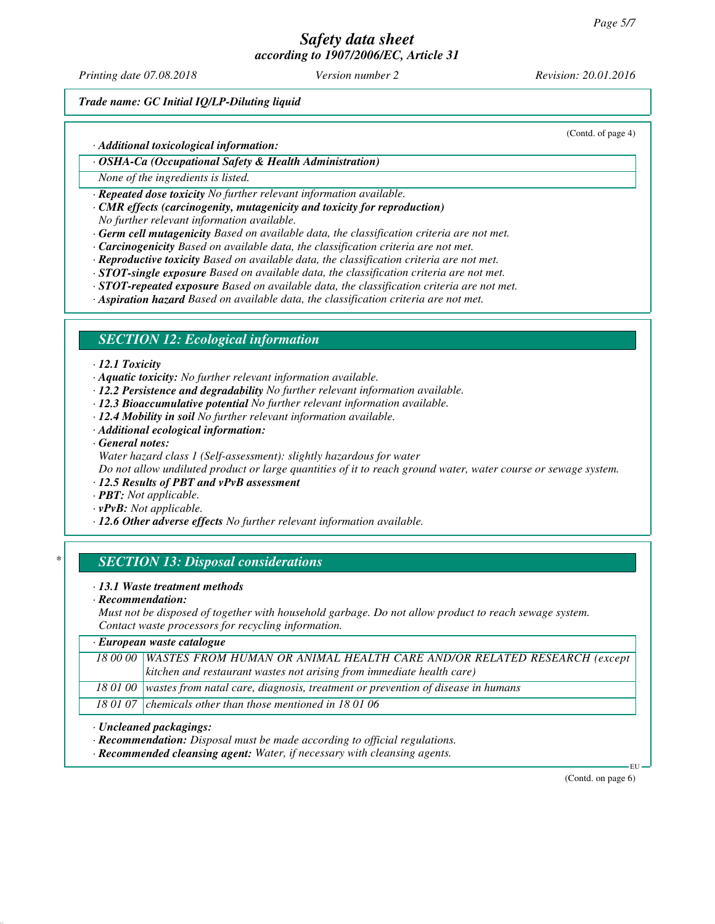*Printing date 07.08.2018 Version number 2 Revision: 20.01.2016*

*Trade name: GC Initial IQ/LP-Diluting liquid*

*· Additional toxicological information:*

*· OSHA-Ca (Occupational Safety & Health Administration)*

*None of the ingredients is listed.*

*· Repeated dose toxicity No further relevant information available.*

*· CMR effects (carcinogenity, mutagenicity and toxicity for reproduction)*

*No further relevant information available.*

*· Germ cell mutagenicity Based on available data, the classification criteria are not met.*

- *· Carcinogenicity Based on available data, the classification criteria are not met.*
- *· Reproductive toxicity Based on available data, the classification criteria are not met.*

*· STOT-single exposure Based on available data, the classification criteria are not met.*

*· STOT-repeated exposure Based on available data, the classification criteria are not met.*

*· Aspiration hazard Based on available data, the classification criteria are not met.*

## *SECTION 12: Ecological information*

#### *· 12.1 Toxicity*

*· Aquatic toxicity: No further relevant information available.*

- *· 12.2 Persistence and degradability No further relevant information available.*
- *· 12.3 Bioaccumulative potential No further relevant information available.*
- *· 12.4 Mobility in soil No further relevant information available.*
- *· Additional ecological information:*
- *· General notes:*
- *Water hazard class 1 (Self-assessment): slightly hazardous for water*

*Do not allow undiluted product or large quantities of it to reach ground water, water course or sewage system.*

- *· 12.5 Results of PBT and vPvB assessment*
- *· PBT: Not applicable.*
- *· vPvB: Not applicable.*
- *· 12.6 Other adverse effects No further relevant information available.*

## *\* SECTION 13: Disposal considerations*

#### *· 13.1 Waste treatment methods*

*· Recommendation:*

*Must not be disposed of together with household garbage. Do not allow product to reach sewage system. Contact waste processors for recycling information.*

| $\cdot$ European waste catalogue                                                           |  |  |
|--------------------------------------------------------------------------------------------|--|--|
| 18 00 00   WASTES FROM HUMAN OR ANIMAL HEALTH CARE AND/OR RELATED RESEARCH (except         |  |  |
| kitchen and restaurant wastes not arising from immediate health care)                      |  |  |
| 18 01 00   wastes from natal care, diagnosis, treatment or prevention of disease in humans |  |  |
| 18 01 07 chemicals other than those mentioned in 18 01 06                                  |  |  |

#### *· Uncleaned packagings:*

*· Recommendation: Disposal must be made according to official regulations.*

*· Recommended cleansing agent: Water, if necessary with cleansing agents.*

(Contd. on page 6)

EU

(Contd. of page 4)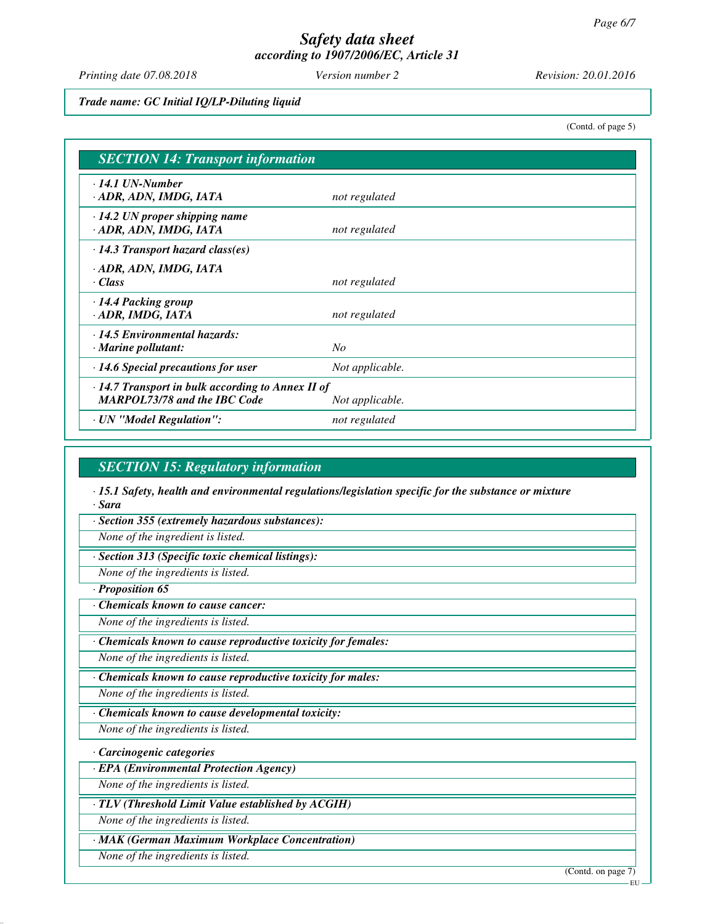*Printing date 07.08.2018 Version number 2 Revision: 20.01.2016*

*Trade name: GC Initial IQ/LP-Diluting liquid*

(Contd. of page 5)

| <b>SECTION 14: Transport information</b>                                                       |                 |  |
|------------------------------------------------------------------------------------------------|-----------------|--|
| $\cdot$ 14.1 UN-Number<br>· ADR, ADN, IMDG, IATA                                               | not regulated   |  |
| $\cdot$ 14.2 UN proper shipping name<br>· ADR, ADN, IMDG, IATA                                 | not regulated   |  |
| $\cdot$ 14.3 Transport hazard class(es)                                                        |                 |  |
| · ADR, ADN, IMDG, IATA<br>· Class                                                              | not regulated   |  |
| · 14.4 Packing group<br>· ADR, IMDG, IATA                                                      | not regulated   |  |
| $\cdot$ 14.5 Environmental hazards:<br>$\cdot$ Marine pollutant:                               | No              |  |
| $\cdot$ 14.6 Special precautions for user                                                      | Not applicable. |  |
| $\cdot$ 14.7 Transport in bulk according to Annex II of<br><b>MARPOL73/78 and the IBC Code</b> | Not applicable. |  |
| · UN "Model Regulation":                                                                       | not regulated   |  |

## *SECTION 15: Regulatory information*

*· 15.1 Safety, health and environmental regulations/legislation specific for the substance or mixture · Sara*

*· Section 355 (extremely hazardous substances):*

*None of the ingredient is listed.*

*· Section 313 (Specific toxic chemical listings):*

*None of the ingredients is listed.*

*· Proposition 65*

*· Chemicals known to cause cancer:*

*None of the ingredients is listed.*

*· Chemicals known to cause reproductive toxicity for females:*

*None of the ingredients is listed.*

*· Chemicals known to cause reproductive toxicity for males:*

*None of the ingredients is listed.*

*· Chemicals known to cause developmental toxicity:*

*None of the ingredients is listed.*

*· Carcinogenic categories*

*· EPA (Environmental Protection Agency)*

*None of the ingredients is listed.*

*· TLV (Threshold Limit Value established by ACGIH)*

*None of the ingredients is listed.*

*· MAK (German Maximum Workplace Concentration)*

*None of the ingredients is listed.*

(Contd. on page 7)

**EU**